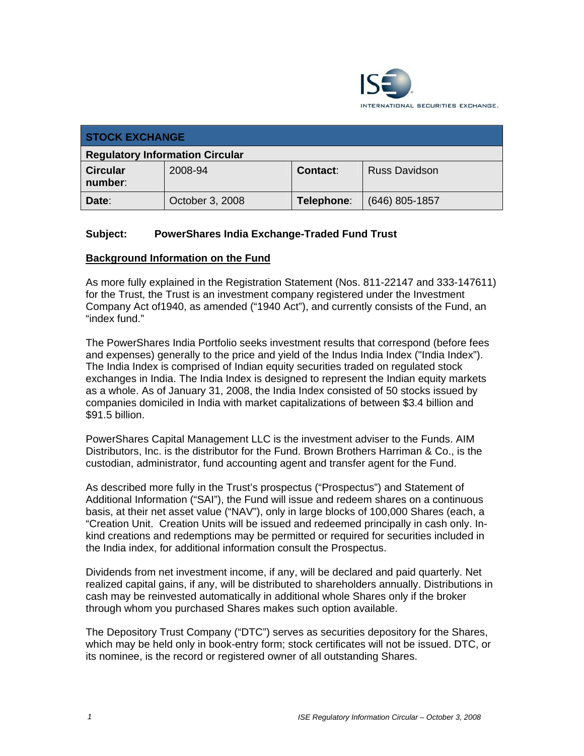

| <b>STOCK EXCHANGE</b>                  |                 |            |                      |
|----------------------------------------|-----------------|------------|----------------------|
| <b>Regulatory Information Circular</b> |                 |            |                      |
| <b>Circular</b><br>number:             | 2008-94         | Contact:   | <b>Russ Davidson</b> |
| Date:                                  | October 3, 2008 | Telephone: | (646) 805-1857       |

## **Subject: PowerShares India Exchange-Traded Fund Trust**

#### **Background Information on the Fund**

As more fully explained in the Registration Statement (Nos. 811-22147 and 333-147611) for the Trust, the Trust is an investment company registered under the Investment Company Act of1940, as amended ("1940 Act"), and currently consists of the Fund, an "index fund."

The PowerShares India Portfolio seeks investment results that correspond (before fees and expenses) generally to the price and yield of the Indus India Index ("India Index"). The India Index is comprised of Indian equity securities traded on regulated stock exchanges in India. The India Index is designed to represent the Indian equity markets as a whole. As of January 31, 2008, the India Index consisted of 50 stocks issued by companies domiciled in India with market capitalizations of between \$3.4 billion and \$91.5 billion.

PowerShares Capital Management LLC is the investment adviser to the Funds. AIM Distributors, Inc. is the distributor for the Fund. Brown Brothers Harriman & Co., is the custodian, administrator, fund accounting agent and transfer agent for the Fund.

As described more fully in the Trust's prospectus ("Prospectus") and Statement of Additional Information ("SAI"), the Fund will issue and redeem shares on a continuous basis, at their net asset value ("NAV"), only in large blocks of 100,000 Shares (each, a "Creation Unit. Creation Units will be issued and redeemed principally in cash only. Inkind creations and redemptions may be permitted or required for securities included in the India index, for additional information consult the Prospectus.

Dividends from net investment income, if any, will be declared and paid quarterly. Net realized capital gains, if any, will be distributed to shareholders annually. Distributions in cash may be reinvested automatically in additional whole Shares only if the broker through whom you purchased Shares makes such option available.

The Depository Trust Company ("DTC") serves as securities depository for the Shares, which may be held only in book-entry form; stock certificates will not be issued. DTC, or its nominee, is the record or registered owner of all outstanding Shares.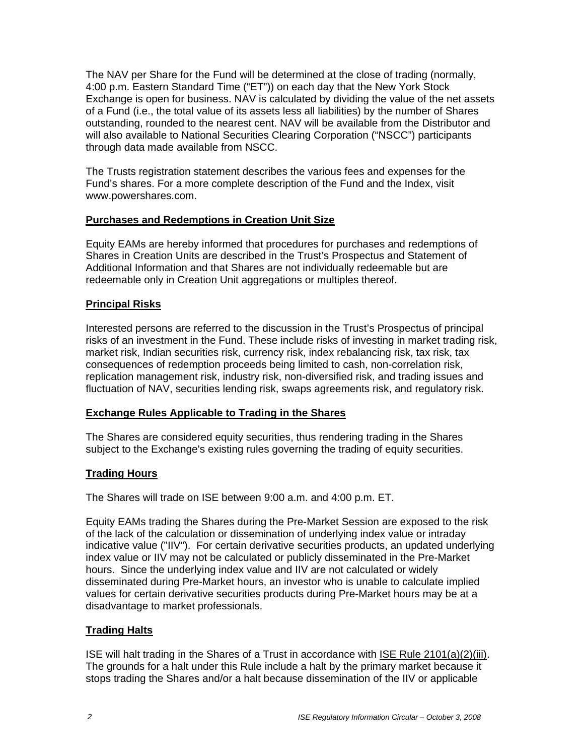The NAV per Share for the Fund will be determined at the close of trading (normally, 4:00 p.m. Eastern Standard Time ("ET")) on each day that the New York Stock Exchange is open for business. NAV is calculated by dividing the value of the net assets of a Fund (i.e., the total value of its assets less all liabilities) by the number of Shares outstanding, rounded to the nearest cent. NAV will be available from the Distributor and will also available to National Securities Clearing Corporation ("NSCC") participants through data made available from NSCC.

The Trusts registration statement describes the various fees and expenses for the Fund's shares. For a more complete description of the Fund and the Index, visit www.powershares.com.

## **Purchases and Redemptions in Creation Unit Size**

Equity EAMs are hereby informed that procedures for purchases and redemptions of Shares in Creation Units are described in the Trust's Prospectus and Statement of Additional Information and that Shares are not individually redeemable but are redeemable only in Creation Unit aggregations or multiples thereof.

## **Principal Risks**

Interested persons are referred to the discussion in the Trust's Prospectus of principal risks of an investment in the Fund. These include risks of investing in market trading risk, market risk, Indian securities risk, currency risk, index rebalancing risk, tax risk, tax consequences of redemption proceeds being limited to cash, non-correlation risk, replication management risk, industry risk, non-diversified risk, and trading issues and fluctuation of NAV, securities lending risk, swaps agreements risk, and regulatory risk.

## **Exchange Rules Applicable to Trading in the Shares**

The Shares are considered equity securities, thus rendering trading in the Shares subject to the Exchange's existing rules governing the trading of equity securities.

## **Trading Hours**

The Shares will trade on ISE between 9:00 a.m. and 4:00 p.m. ET.

Equity EAMs trading the Shares during the Pre-Market Session are exposed to the risk of the lack of the calculation or dissemination of underlying index value or intraday indicative value ("IIV"). For certain derivative securities products, an updated underlying index value or IIV may not be calculated or publicly disseminated in the Pre-Market hours. Since the underlying index value and IIV are not calculated or widely disseminated during Pre-Market hours, an investor who is unable to calculate implied values for certain derivative securities products during Pre-Market hours may be at a disadvantage to market professionals.

## **Trading Halts**

ISE will halt trading in the Shares of a Trust in accordance with ISE Rule 2101(a)(2)(iii). The grounds for a halt under this Rule include a halt by the primary market because it stops trading the Shares and/or a halt because dissemination of the IIV or applicable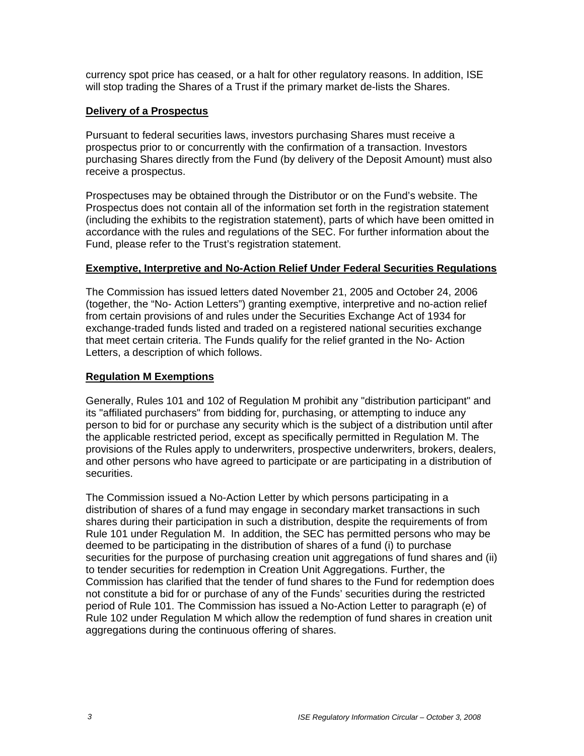currency spot price has ceased, or a halt for other regulatory reasons. In addition, ISE will stop trading the Shares of a Trust if the primary market de-lists the Shares.

### **Delivery of a Prospectus**

Pursuant to federal securities laws, investors purchasing Shares must receive a prospectus prior to or concurrently with the confirmation of a transaction. Investors purchasing Shares directly from the Fund (by delivery of the Deposit Amount) must also receive a prospectus.

Prospectuses may be obtained through the Distributor or on the Fund's website. The Prospectus does not contain all of the information set forth in the registration statement (including the exhibits to the registration statement), parts of which have been omitted in accordance with the rules and regulations of the SEC. For further information about the Fund, please refer to the Trust's registration statement.

#### **Exemptive, Interpretive and No-Action Relief Under Federal Securities Regulations**

The Commission has issued letters dated November 21, 2005 and October 24, 2006 (together, the "No- Action Letters") granting exemptive, interpretive and no-action relief from certain provisions of and rules under the Securities Exchange Act of 1934 for exchange-traded funds listed and traded on a registered national securities exchange that meet certain criteria. The Funds qualify for the relief granted in the No- Action Letters, a description of which follows.

### **Regulation M Exemptions**

Generally, Rules 101 and 102 of Regulation M prohibit any "distribution participant" and its "affiliated purchasers" from bidding for, purchasing, or attempting to induce any person to bid for or purchase any security which is the subject of a distribution until after the applicable restricted period, except as specifically permitted in Regulation M. The provisions of the Rules apply to underwriters, prospective underwriters, brokers, dealers, and other persons who have agreed to participate or are participating in a distribution of securities.

The Commission issued a No-Action Letter by which persons participating in a distribution of shares of a fund may engage in secondary market transactions in such shares during their participation in such a distribution, despite the requirements of from Rule 101 under Regulation M. In addition, the SEC has permitted persons who may be deemed to be participating in the distribution of shares of a fund (i) to purchase securities for the purpose of purchasing creation unit aggregations of fund shares and (ii) to tender securities for redemption in Creation Unit Aggregations. Further, the Commission has clarified that the tender of fund shares to the Fund for redemption does not constitute a bid for or purchase of any of the Funds' securities during the restricted period of Rule 101. The Commission has issued a No-Action Letter to paragraph (e) of Rule 102 under Regulation M which allow the redemption of fund shares in creation unit aggregations during the continuous offering of shares.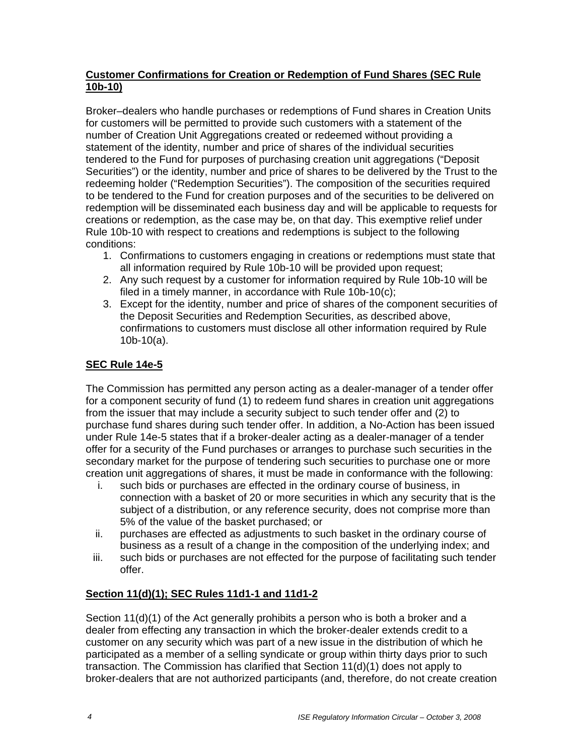## **Customer Confirmations for Creation or Redemption of Fund Shares (SEC Rule 10b-10)**

Broker–dealers who handle purchases or redemptions of Fund shares in Creation Units for customers will be permitted to provide such customers with a statement of the number of Creation Unit Aggregations created or redeemed without providing a statement of the identity, number and price of shares of the individual securities tendered to the Fund for purposes of purchasing creation unit aggregations ("Deposit Securities") or the identity, number and price of shares to be delivered by the Trust to the redeeming holder ("Redemption Securities"). The composition of the securities required to be tendered to the Fund for creation purposes and of the securities to be delivered on redemption will be disseminated each business day and will be applicable to requests for creations or redemption, as the case may be, on that day. This exemptive relief under Rule 10b-10 with respect to creations and redemptions is subject to the following conditions:

- 1. Confirmations to customers engaging in creations or redemptions must state that all information required by Rule 10b-10 will be provided upon request;
- 2. Any such request by a customer for information required by Rule 10b-10 will be filed in a timely manner, in accordance with Rule 10b-10(c);
- 3. Except for the identity, number and price of shares of the component securities of the Deposit Securities and Redemption Securities, as described above, confirmations to customers must disclose all other information required by Rule 10b-10(a).

# **SEC Rule 14e-5**

The Commission has permitted any person acting as a dealer-manager of a tender offer for a component security of fund (1) to redeem fund shares in creation unit aggregations from the issuer that may include a security subject to such tender offer and (2) to purchase fund shares during such tender offer. In addition, a No-Action has been issued under Rule 14e-5 states that if a broker-dealer acting as a dealer-manager of a tender offer for a security of the Fund purchases or arranges to purchase such securities in the secondary market for the purpose of tendering such securities to purchase one or more creation unit aggregations of shares, it must be made in conformance with the following:

- i. such bids or purchases are effected in the ordinary course of business, in connection with a basket of 20 or more securities in which any security that is the subject of a distribution, or any reference security, does not comprise more than 5% of the value of the basket purchased; or
- ii. purchases are effected as adjustments to such basket in the ordinary course of business as a result of a change in the composition of the underlying index; and
- iii. such bids or purchases are not effected for the purpose of facilitating such tender offer.

## **Section 11(d)(1); SEC Rules 11d1-1 and 11d1-2**

Section 11(d)(1) of the Act generally prohibits a person who is both a broker and a dealer from effecting any transaction in which the broker-dealer extends credit to a customer on any security which was part of a new issue in the distribution of which he participated as a member of a selling syndicate or group within thirty days prior to such transaction. The Commission has clarified that Section 11(d)(1) does not apply to broker-dealers that are not authorized participants (and, therefore, do not create creation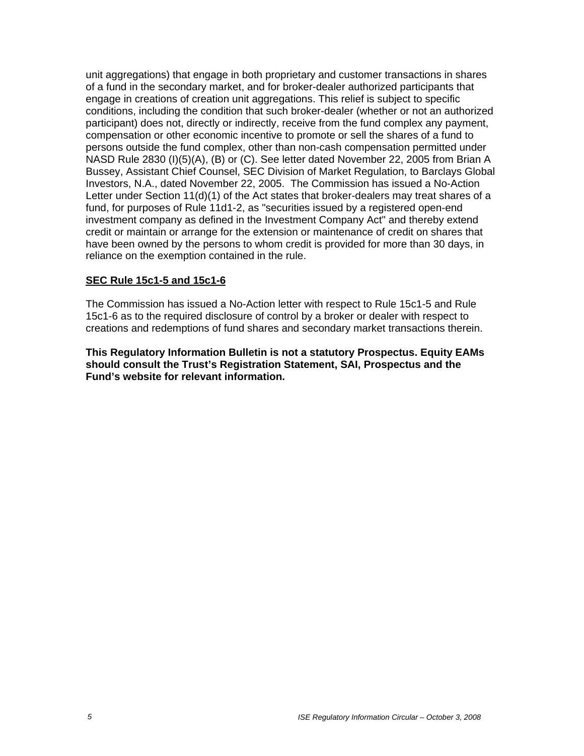unit aggregations) that engage in both proprietary and customer transactions in shares of a fund in the secondary market, and for broker-dealer authorized participants that engage in creations of creation unit aggregations. This relief is subject to specific conditions, including the condition that such broker-dealer (whether or not an authorized participant) does not, directly or indirectly, receive from the fund complex any payment, compensation or other economic incentive to promote or sell the shares of a fund to persons outside the fund complex, other than non-cash compensation permitted under NASD Rule 2830 (I)(5)(A), (B) or (C). See letter dated November 22, 2005 from Brian A Bussey, Assistant Chief Counsel, SEC Division of Market Regulation, to Barclays Global Investors, N.A., dated November 22, 2005. The Commission has issued a No-Action Letter under Section 11(d)(1) of the Act states that broker-dealers may treat shares of a fund, for purposes of Rule 11d1-2, as "securities issued by a registered open-end investment company as defined in the Investment Company Act" and thereby extend credit or maintain or arrange for the extension or maintenance of credit on shares that have been owned by the persons to whom credit is provided for more than 30 days, in reliance on the exemption contained in the rule.

#### **SEC Rule 15c1-5 and 15c1-6**

The Commission has issued a No-Action letter with respect to Rule 15c1-5 and Rule 15c1-6 as to the required disclosure of control by a broker or dealer with respect to creations and redemptions of fund shares and secondary market transactions therein.

**This Regulatory Information Bulletin is not a statutory Prospectus. Equity EAMs should consult the Trust's Registration Statement, SAI, Prospectus and the Fund's website for relevant information.**